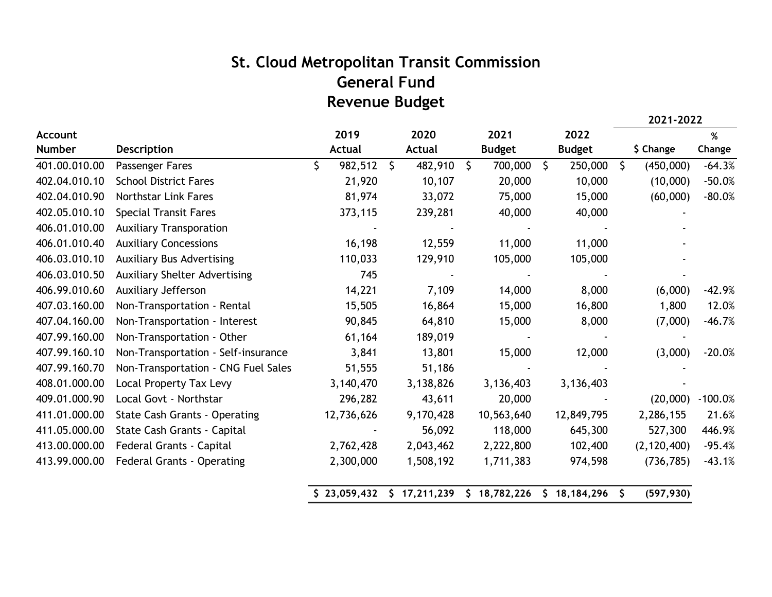## **St. Cloud Metropolitan Transit Commission General Fund Revenue Budget**

|                |                                      |    |              |    |              |              |               |              |               |         | 2021-2022     |           |
|----------------|--------------------------------------|----|--------------|----|--------------|--------------|---------------|--------------|---------------|---------|---------------|-----------|
| <b>Account</b> |                                      |    | 2019         |    | 2020         |              | 2021          |              | 2022          |         |               | $\%$      |
| <b>Number</b>  | Description                          |    | Actual       |    | Actual       |              | <b>Budget</b> |              | <b>Budget</b> |         | \$ Change     | Change    |
| 401.00.010.00  | Passenger Fares                      | \$ | 982,512      | Ŝ. | 482,910      | $\mathsf{S}$ | 700,000       | $\mathsf{S}$ | 250,000       | $\zeta$ | (450,000)     | $-64.3%$  |
| 402.04.010.10  | <b>School District Fares</b>         |    | 21,920       |    | 10,107       |              | 20,000        |              | 10,000        |         | (10,000)      | $-50.0%$  |
| 402.04.010.90  | <b>Northstar Link Fares</b>          |    | 81,974       |    | 33,072       |              | 75,000        |              | 15,000        |         | (60,000)      | $-80.0%$  |
| 402.05.010.10  | <b>Special Transit Fares</b>         |    | 373,115      |    | 239,281      |              | 40,000        |              | 40,000        |         |               |           |
| 406.01.010.00  | <b>Auxiliary Transporation</b>       |    |              |    |              |              |               |              |               |         |               |           |
| 406.01.010.40  | <b>Auxiliary Concessions</b>         |    | 16,198       |    | 12,559       |              | 11,000        |              | 11,000        |         |               |           |
| 406.03.010.10  | <b>Auxiliary Bus Advertising</b>     |    | 110,033      |    | 129,910      |              | 105,000       |              | 105,000       |         |               |           |
| 406.03.010.50  | <b>Auxiliary Shelter Advertising</b> |    | 745          |    |              |              |               |              |               |         |               |           |
| 406.99.010.60  | Auxiliary Jefferson                  |    | 14,221       |    | 7,109        |              | 14,000        |              | 8,000         |         | (6,000)       | $-42.9%$  |
| 407.03.160.00  | Non-Transportation - Rental          |    | 15,505       |    | 16,864       |              | 15,000        |              | 16,800        |         | 1,800         | 12.0%     |
| 407.04.160.00  | Non-Transportation - Interest        |    | 90,845       |    | 64,810       |              | 15,000        |              | 8,000         |         | (7,000)       | $-46.7%$  |
| 407.99.160.00  | Non-Transportation - Other           |    | 61,164       |    | 189,019      |              |               |              |               |         |               |           |
| 407.99.160.10  | Non-Transportation - Self-insurance  |    | 3,841        |    | 13,801       |              | 15,000        |              | 12,000        |         | (3,000)       | $-20.0%$  |
| 407.99.160.70  | Non-Transportation - CNG Fuel Sales  |    | 51,555       |    | 51,186       |              |               |              |               |         |               |           |
| 408.01.000.00  | Local Property Tax Levy              |    | 3,140,470    |    | 3,138,826    |              | 3,136,403     |              | 3,136,403     |         |               |           |
| 409.01.000.90  | Local Govt - Northstar               |    | 296,282      |    | 43,611       |              | 20,000        |              |               |         | (20,000)      | $-100.0%$ |
| 411.01.000.00  | <b>State Cash Grants - Operating</b> |    | 12,736,626   |    | 9,170,428    |              | 10,563,640    |              | 12,849,795    |         | 2,286,155     | 21.6%     |
| 411.05.000.00  | State Cash Grants - Capital          |    |              |    | 56,092       |              | 118,000       |              | 645,300       |         | 527,300       | 446.9%    |
| 413.00.000.00  | Federal Grants - Capital             |    | 2,762,428    |    | 2,043,462    |              | 2,222,800     |              | 102,400       |         | (2, 120, 400) | $-95.4%$  |
| 413.99.000.00  | <b>Federal Grants - Operating</b>    |    | 2,300,000    |    | 1,508,192    |              | 1,711,383     |              | 974,598       |         | (736, 785)    | $-43.1%$  |
|                |                                      |    | \$23,059,432 |    | \$17,211,239 |              | \$18,782,226  |              | \$18,184,296  |         | (597, 930)    |           |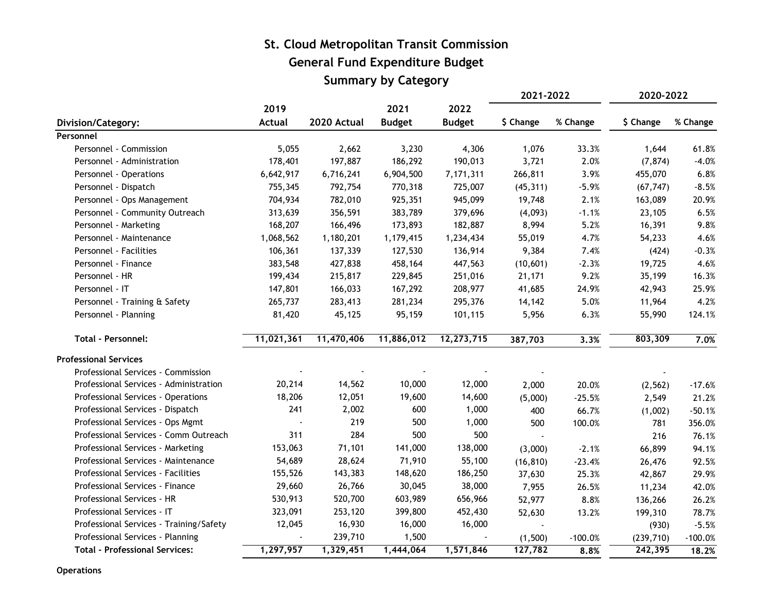## **St. Cloud Metropolitan Transit Commission General Fund Expenditure Budget Summary by Category**

|                                         |            |             |               |               | 2021-2022 |           | 2020-2022  |           |
|-----------------------------------------|------------|-------------|---------------|---------------|-----------|-----------|------------|-----------|
|                                         | 2019       |             | 2021          | 2022          |           |           |            |           |
| Division/Category:                      | Actual     | 2020 Actual | <b>Budget</b> | <b>Budget</b> | \$ Change | % Change  | \$ Change  | % Change  |
| Personnel                               |            |             |               |               |           |           |            |           |
| Personnel - Commission                  | 5,055      | 2,662       | 3,230         | 4,306         | 1,076     | 33.3%     | 1,644      | 61.8%     |
| Personnel - Administration              | 178,401    | 197,887     | 186,292       | 190,013       | 3,721     | 2.0%      | (7, 874)   | $-4.0%$   |
| Personnel - Operations                  | 6,642,917  | 6,716,241   | 6,904,500     | 7,171,311     | 266,811   | 3.9%      | 455,070    | 6.8%      |
| Personnel - Dispatch                    | 755,345    | 792,754     | 770,318       | 725,007       | (45, 311) | $-5.9%$   | (67, 747)  | $-8.5%$   |
| Personnel - Ops Management              | 704,934    | 782,010     | 925,351       | 945,099       | 19,748    | 2.1%      | 163,089    | 20.9%     |
| Personnel - Community Outreach          | 313,639    | 356,591     | 383,789       | 379,696       | (4,093)   | $-1.1%$   | 23,105     | 6.5%      |
| Personnel - Marketing                   | 168,207    | 166,496     | 173,893       | 182,887       | 8,994     | 5.2%      | 16,391     | 9.8%      |
| Personnel - Maintenance                 | 1,068,562  | 1,180,201   | 1,179,415     | 1,234,434     | 55,019    | 4.7%      | 54,233     | 4.6%      |
| Personnel - Facilities                  | 106,361    | 137,339     | 127,530       | 136,914       | 9,384     | 7.4%      | (424)      | $-0.3%$   |
| Personnel - Finance                     | 383,548    | 427,838     | 458,164       | 447,563       | (10, 601) | $-2.3%$   | 19,725     | 4.6%      |
| Personnel - HR                          | 199,434    | 215,817     | 229,845       | 251,016       | 21,171    | 9.2%      | 35,199     | 16.3%     |
| Personnel - IT                          | 147,801    | 166,033     | 167,292       | 208,977       | 41,685    | 24.9%     | 42,943     | 25.9%     |
| Personnel - Training & Safety           | 265,737    | 283,413     | 281,234       | 295,376       | 14,142    | 5.0%      | 11,964     | 4.2%      |
| Personnel - Planning                    | 81,420     | 45,125      | 95,159        | 101,115       | 5,956     | 6.3%      | 55,990     | 124.1%    |
| <b>Total - Personnel:</b>               | 11,021,361 | 11,470,406  | 11,886,012    | 12,273,715    | 387,703   | 3.3%      | 803,309    | 7.0%      |
| <b>Professional Services</b>            |            |             |               |               |           |           |            |           |
| Professional Services - Commission      |            |             |               |               |           |           |            |           |
| Professional Services - Administration  | 20,214     | 14,562      | 10,000        | 12,000        | 2,000     | 20.0%     | (2, 562)   | $-17.6%$  |
| Professional Services - Operations      | 18,206     | 12,051      | 19,600        | 14,600        | (5,000)   | $-25.5%$  | 2,549      | 21.2%     |
| Professional Services - Dispatch        | 241        | 2,002       | 600           | 1,000         | 400       | 66.7%     | (1,002)    | $-50.1%$  |
| Professional Services - Ops Mgmt        |            | 219         | 500           | 1,000         | 500       | 100.0%    | 781        | 356.0%    |
| Professional Services - Comm Outreach   | 311        | 284         | 500           | 500           | $\Delta$  |           | 216        | 76.1%     |
| Professional Services - Marketing       | 153,063    | 71,101      | 141,000       | 138,000       | (3,000)   | $-2.1%$   | 66,899     | 94.1%     |
| Professional Services - Maintenance     | 54,689     | 28,624      | 71,910        | 55,100        | (16, 810) | $-23.4%$  | 26,476     | 92.5%     |
| Professional Services - Facilities      | 155,526    | 143,383     | 148,620       | 186,250       | 37,630    | 25.3%     | 42,867     | 29.9%     |
| Professional Services - Finance         | 29,660     | 26,766      | 30,045        | 38,000        | 7,955     | 26.5%     | 11,234     | 42.0%     |
| Professional Services - HR              | 530,913    | 520,700     | 603,989       | 656,966       | 52,977    | 8.8%      | 136,266    | 26.2%     |
| Professional Services - IT              | 323,091    | 253,120     | 399,800       | 452,430       | 52,630    | 13.2%     | 199,310    | 78.7%     |
| Professional Services - Training/Safety | 12,045     | 16,930      | 16,000        | 16,000        | $\sim$    |           | (930)      | $-5.5%$   |
| Professional Services - Planning        |            | 239,710     | 1,500         |               | (1,500)   | $-100.0%$ | (239, 710) | $-100.0%$ |
| <b>Total - Professional Services:</b>   | 1,297,957  | 1,329,451   | 1,444,064     | 1,571,846     | 127,782   | 8.8%      | 242,395    | 18.2%     |